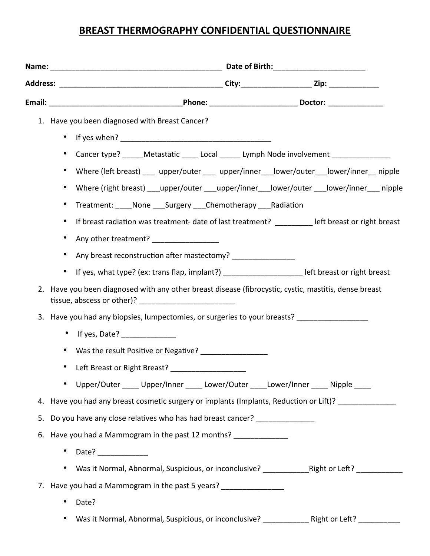## **BREAST THERMOGRAPHY CONFIDENTIAL QUESTIONNAIRE**

|    | 1. Have you been diagnosed with Breast Cancer?                                                                   |  |  |  |  |
|----|------------------------------------------------------------------------------------------------------------------|--|--|--|--|
|    | $\bullet$                                                                                                        |  |  |  |  |
|    | Cancer type? _____Metastatic _____ Local ______ Lymph Node involvement ________________<br>$\bullet$             |  |  |  |  |
|    | Where (left breast) ___ upper/outer ___ upper/inner __ lower/outer __ lower/inner __ nipple<br>$\bullet$         |  |  |  |  |
|    | Where (right breast) ___upper/outer ___upper/inner ___ lower/outer ___ lower/inner ___ nipple<br>$\bullet$       |  |  |  |  |
|    | Treatment: None Surgery Chemotherapy Radiation<br>$\bullet$                                                      |  |  |  |  |
|    | If breast radiation was treatment- date of last treatment? _______ left breast or right breast<br>$\bullet$      |  |  |  |  |
|    | Any other treatment? ___________________<br>$\bullet$                                                            |  |  |  |  |
|    | Any breast reconstruction after mastectomy? ___________________<br>$\bullet$                                     |  |  |  |  |
|    | If yes, what type? (ex: trans flap, implant?) _________________________ left breast or right breast<br>$\bullet$ |  |  |  |  |
| 2. | Have you been diagnosed with any other breast disease (fibrocystic, cystic, mastitis, dense breast               |  |  |  |  |
|    | 3. Have you had any biopsies, lumpectomies, or surgeries to your breasts? __________________                     |  |  |  |  |
|    | • If yes, Date? $\frac{1}{2}$ [100]                                                                              |  |  |  |  |
|    | Was the result Positive or Negative?<br>$\bullet$                                                                |  |  |  |  |
|    | Left Breast or Right Breast? ______________________                                                              |  |  |  |  |
|    | Upper/Outer _____ Upper/Inner _____ Lower/Outer _____Lower/Inner _____ Nipple ____<br>$\bullet$                  |  |  |  |  |
| 4. | Have you had any breast cosmetic surgery or implants (Implants, Reduction or Lift)? ______________               |  |  |  |  |
| 5. | Do you have any close relatives who has had breast cancer? _______________                                       |  |  |  |  |
| 6. | Have you had a Mammogram in the past 12 months? ______________                                                   |  |  |  |  |
|    | Date?<br>$\bullet$                                                                                               |  |  |  |  |
|    | ٠                                                                                                                |  |  |  |  |
| 7. | Have you had a Mammogram in the past 5 years?                                                                    |  |  |  |  |
|    | Date?                                                                                                            |  |  |  |  |
|    |                                                                                                                  |  |  |  |  |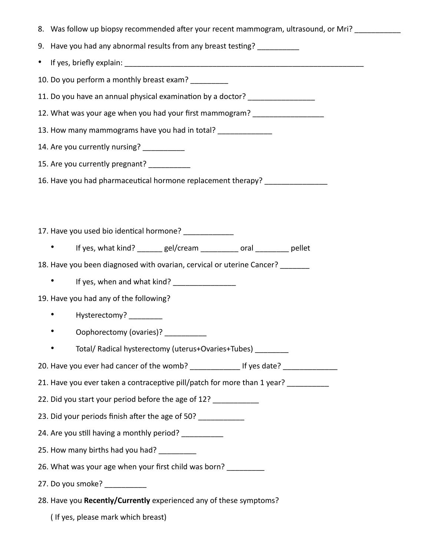| 8. Was follow up biopsy recommended after your recent mammogram, ultrasound, or Mri? |  |  |  |  |
|--------------------------------------------------------------------------------------|--|--|--|--|
| 9. Have you had any abnormal results from any breast testing? ___________            |  |  |  |  |
|                                                                                      |  |  |  |  |
| 10. Do you perform a monthly breast exam? __________                                 |  |  |  |  |
| 11. Do you have an annual physical examination by a doctor? ____________________     |  |  |  |  |
| 12. What was your age when you had your first mammogram? _______________________     |  |  |  |  |
| 13. How many mammograms have you had in total? _______________                       |  |  |  |  |
| 14. Are you currently nursing? ____________                                          |  |  |  |  |
| 15. Are you currently pregnant? _________                                            |  |  |  |  |
| 16. Have you had pharmaceutical hormone replacement therapy? ___________________     |  |  |  |  |
|                                                                                      |  |  |  |  |
|                                                                                      |  |  |  |  |
| 17. Have you used bio identical hormone? _____________                               |  |  |  |  |
| If yes, what kind? ______ gel/cream ________ oral _______ pellet                     |  |  |  |  |
| 18. Have you been diagnosed with ovarian, cervical or uterine Cancer? _______        |  |  |  |  |
| If yes, when and what kind? ___________________                                      |  |  |  |  |
| 19. Have you had any of the following?                                               |  |  |  |  |
| Hysterectomy? _________<br>$\bullet$ and $\bullet$                                   |  |  |  |  |
| Oophorectomy (ovaries)? __________                                                   |  |  |  |  |
| Total/ Radical hysterectomy (uterus+Ovaries+Tubes) _________                         |  |  |  |  |
| 20. Have you ever had cancer of the womb? _______________ If yes date? ___________   |  |  |  |  |
| 21. Have you ever taken a contraceptive pill/patch for more than 1 year?             |  |  |  |  |
| 22. Did you start your period before the age of 12?                                  |  |  |  |  |
| 23. Did your periods finish after the age of 50?                                     |  |  |  |  |
| 24. Are you still having a monthly period?                                           |  |  |  |  |
| 25. How many births had you had?                                                     |  |  |  |  |
| 26. What was your age when your first child was born?                                |  |  |  |  |
| 27. Do you smoke?                                                                    |  |  |  |  |
| 28. Have you Recently/Currently experienced any of these symptoms?                   |  |  |  |  |

( If yes, please mark which breast)